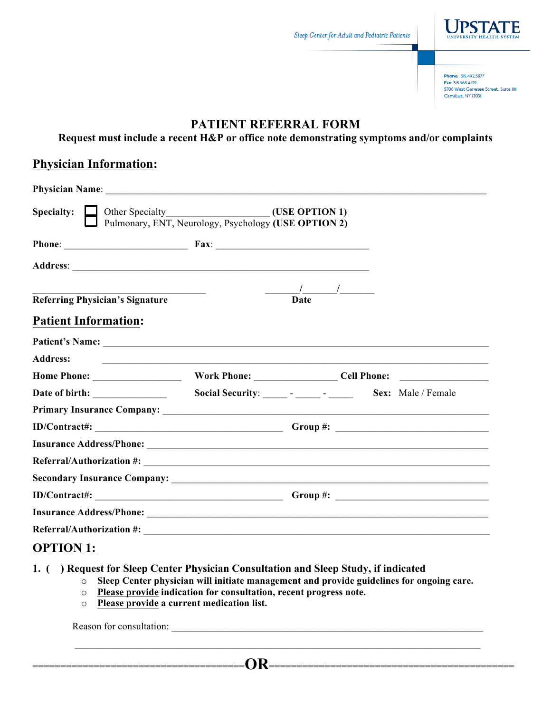

Phone: 315.492.5877 Fax: 315 565 4109 5700 West Genesee Street, Suite IOI Camillus, NY 13031

# **PATIENT REFERRAL FORM**

**Request must include a recent H&P or office note demonstrating symptoms and/or complaints**

### **Physician Information:**

| Specialty: Other Specialty<br>Pulmonary, ENT, Neurology, Psychology (USE OPTION 2) |                                                                                                                      |             |  |
|------------------------------------------------------------------------------------|----------------------------------------------------------------------------------------------------------------------|-------------|--|
|                                                                                    |                                                                                                                      |             |  |
|                                                                                    |                                                                                                                      |             |  |
|                                                                                    |                                                                                                                      |             |  |
| <b>Referring Physician's Signature</b>                                             |                                                                                                                      | <b>Date</b> |  |
| <b>Patient Information:</b>                                                        |                                                                                                                      |             |  |
|                                                                                    |                                                                                                                      |             |  |
| <b>Address:</b>                                                                    | <u> 2000 - Jan James James James James James James James James James James James James James James James James J</u> |             |  |
| Home Phone: Work Phone: Cell Phone: Cell Phone:                                    |                                                                                                                      |             |  |
|                                                                                    |                                                                                                                      |             |  |
|                                                                                    |                                                                                                                      |             |  |
|                                                                                    |                                                                                                                      |             |  |
|                                                                                    |                                                                                                                      |             |  |
|                                                                                    |                                                                                                                      |             |  |
|                                                                                    |                                                                                                                      |             |  |
|                                                                                    |                                                                                                                      |             |  |
|                                                                                    |                                                                                                                      |             |  |
| Referral/Authorization #:                                                          |                                                                                                                      |             |  |
|                                                                                    |                                                                                                                      |             |  |

## **OPTION 1:**

- **1. ( ) Request for Sleep Center Physician Consultation and Sleep Study, if indicated**
	- o **Sleep Center physician will initiate management and provide guidelines for ongoing care.**
	- o **Please provide indication for consultation, recent progress note.**
	- o **Please provide a current medication list.**

Reason for consultation:

======================================**OR**============================================